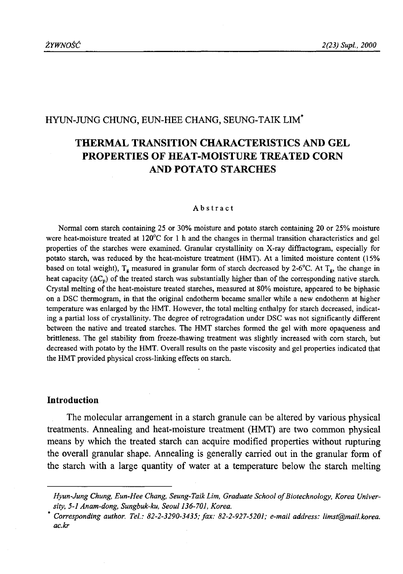### HYUN-JUNG CHUNG, EUN-HEE CHANG, SEUNG-TAIK LIM\*

# **THERMAL TRANSITION CHARACTERISTICS AND GEL PROPERTIES OF HEAT-MOISTURE TREATED CORN AND POTATO STARCHES**

#### Abstract

Normal com starch containing 25 or 30% moisture and potato starch containing 20 or 25% moisture were heat-moisture treated at 120°C for 1 h and the changes in thermal transition characteristics and gel properties of the starches were examined. Granular crystallinity on X-ray diffractogram, especially for potato starch, was reduced by the heat-moisture treatment (HMT). At a limited moisture content (15% based on total weight),  $T_g$  measured in granular form of starch decreased by 2-6°C. At  $T_g$ , the change in heat capacity ( $\Delta C_p$ ) of the treated starch was substantially higher than of the corresponding native starch. Crystal melting of the heat-moisture treated starches, measured at 80% moisture, appeared to be biphasic on a DSC thermogram, in that the original endotherm became smaller while a new endotherm at higher temperature was enlarged by the HMT. However, the total melting enthalpy for starch decreased, indicating a partial loss of crystallinity. The degree of retrogradation under DSC was not significantly different between the native and treated starches. The HMT starches formed the gel with more opaqueness and brittleness. The gel stability from freeze-thawing treatment was slightly increased with com starch, but decreased with potato by the HMT. Overall results on the paste viscosity and gel properties indicated that the HMT provided physical cross-linking effects on starch.

#### **Introduction**

The molecular arrangement in a starch granule can be altered by various physical treatments. Annealing and heat-moisture treatment (HMT) are two common physical means by which the treated starch can acquire modified properties without rupturing the overall granular shape. Annealing is generally carried out in the granular form of the starch with a large quantity of water at a temperature below the starch melting

Hyun-Jung Chung, Eun-Hee Chang, Seung-Taik Lim, Graduate School of Biotechnology, Korea Univer*sity, 5-1 Anam-dong, Sungbuk-ku, Seoul 136-701, Korea.*

*Corresponding author. Tel.: 82-2-3290-3435; fax: 82-2-927-5201; e-mail address: limst@mail.korea. ac.kr*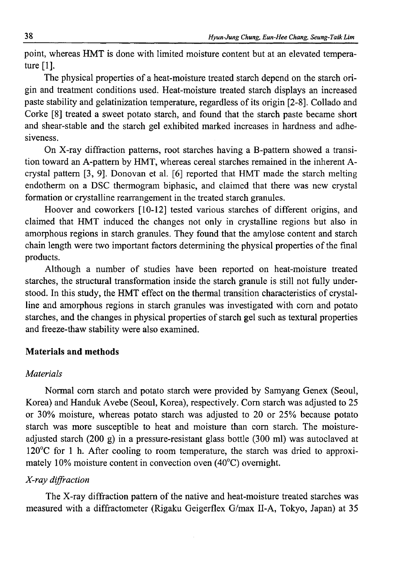point, whereas HMT is done with limited moisture content but at an elevated temperature [1].

The physical properties of a heat-moisture treated starch depend on the starch origin and treatment conditions used. Heat-moisture treated starch displays an increased paste stability and gelatinization temperature, regardless of its origin [2-8]. Collado and Corke [8] treated a sweet potato starch, and found that the starch paste became short and shear-stable and the starch gel exhibited marked increases in hardness and adhesiveness.

On X-ray diffraction patterns, root starches having a B-pattem showed a transition toward an A-pattem by HMT, whereas cereal starches remained in the inherent Acrystal pattern [3, 9]. Donovan et al. [6] reported that HMT made the starch melting endotherm on a DSC thermogram biphasic, and claimed that there was new crystal formation or crystalline rearrangement in the treated starch granules.

Hoover and coworkers [10-12] tested various starches of different origins, and claimed that HMT induced the changes not only in crystalline regions but also in amorphous regions in starch granules. They found that the amylose content and starch chain length were two important factors determining the physical properties of the final products.

Although a number of studies have been reported on heat-moisture treated starches, the structural transformation inside the starch granule is still not fully understood. In this study, the HMT effect on the thermal transition characteristics of crystalline and amorphous regions in starch granules was investigated with com and potato starches, and the changes in physical properties of starch gel such as textural properties and freeze-thaw stability were also examined.

### **Materials and methods**

### *Materials*

Normal com starch and potato starch were provided by Samyang Genex (Seoul, Korea) and Handuk Avebe (Seoul, Korea), respectively. Com starch was adjusted to 25 or 30% moisture, whereas potato starch was adjusted to 20 or 25% because potato starch was more susceptible to heat and moisture than com starch. The moistureadjusted starch (200 g) in a pressure-resistant glass bottle (300 ml) was autoclaved at 120°C for 1 h. After cooling to room temperature, the starch was dried to approximately 10% moisture content in convection oven (40°C) overnight.

### *X-ray diffraction*

The X-ray diffraction pattern of the native and heat-moisture treated starches was measured with a diffractometer (Rigaku Geigerflex G/max II-A, Tokyo, Japan) at 35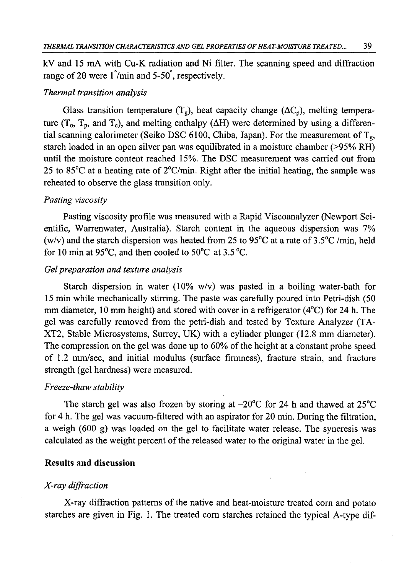kV and 15 mA with Cu-K radiation and Ni filter. The scanning speed and diffraction range of 20 were  $1\degree$ /min and 5-50 $\degree$ , respectively.

### *Thermal transition analysis*

Glass transition temperature  $(T_g)$ , heat capacity change  $(\Delta C_p)$ , melting temperature ( $T_o$ ,  $T_p$ , and  $T_c$ ), and melting enthalpy ( $\Delta H$ ) were determined by using a differential scanning calorimeter (Seiko DSC 6100, Chiba, Japan). For the measurement of  $T_g$ , starch loaded in an open silver pan was equilibrated in a moisture chamber (>95% RH) until the moisture content reached 15%. The DSC measurement was carried out from 25 to 85 $\degree$ C at a heating rate of  $2\degree$ C/min. Right after the initial heating, the sample was reheated to observe the glass transition only.

### *Pasting viscosity*

Pasting viscosity profile was measured with a Rapid Viscoanalyzer (Newport Scientific, Warrenwater, Australia). Starch content in the aqueous dispersion was 7% (w/v) and the starch dispersion was heated from 25 to 95 $^{\circ}$ C at a rate of 3.5 $^{\circ}$ C/min, held for 10 min at 95 $^{\circ}$ C, and then cooled to 50 $^{\circ}$ C at 3.5 $^{\circ}$ C.

## *Gel preparation and texture analysis*

Starch dispersion in water (10% w/v) was pasted in a boiling water-bath for 15 min while mechanically stirring. The paste was carefully poured into Petri-dish (50 mm diameter, 10 mm height) and stored with cover in a refrigerator (4°C) for 24 h. The gel was carefully removed from the petri-dish and tested by Texture Analyzer (TA-XT2, Stable Microsystems, Surrey, UK) with a cylinder plunger (12.8 mm diameter). The compression on the gel was done up to 60% of the height at a constant probe speed of 1.2 mm/sec, and initial modulus (surface firmness), fracture strain, and fracture strength (gel hardness) were measured.

#### *Freeze-thaw stability*

The starch gel was also frozen by storing at  $-20^{\circ}$ C for 24 h and thawed at  $25^{\circ}$ C for 4 h. The gel was vacuum-filtered with an aspirator for 20 min. During the filtration, a weigh (600 g) was loaded on the gel to facilitate water release. The syneresis was calculated as the weight percent of the released water to the original water in the gel.

#### **Results and discussion**

#### *X-ray diffraction*

X-ray diffraction patterns of the native and heat-moisture treated com and potato starches are given in Fig. 1. The treated com starches retained the typical A-type dif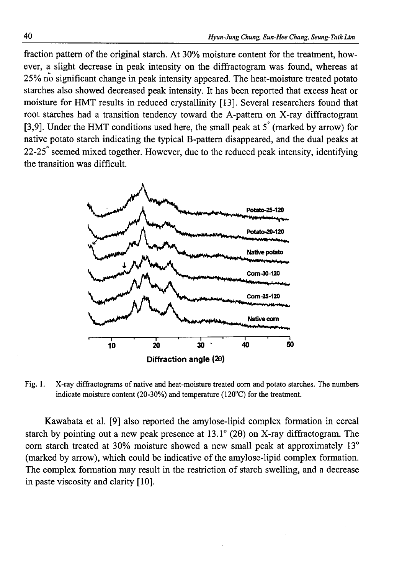fraction pattern of the original starch. At 30% moisture content for the treatment, however, a slight decrease in peak intensity on the diffractogram was found, whereas at 25% no significant change in peak intensity appeared. The heat-moisture treated potato starches also showed decreased peak intensity. It has been reported that excess heat or moisture for HMT results in reduced crystallinity [13]. Several researchers found that root starches had a transition tendency toward the A-pattem on X-ray diffractogram [3,9]. Under the HMT conditions used here, the small peak at  $5^\circ$  (marked by arrow) for native potato starch indicating the typical B-pattem disappeared, and the dual peaks at 22-25 seemed mixed together. However, due to the reduced peak intensity, identifying the transition was difficult.



Fig. 1. X-ray diffractograms of native and heat-moisture treated com and potato starches. The numbers indicate moisture content (20-30%) and temperature (120°C) for the treatment.

Kawabata et al. [9] also reported the amylose-lipid complex formation in cereal starch by pointing out a new peak presence at  $13.1^{\circ}$  (20) on X-ray diffractogram. The com starch treated at 30% moisture showed a new small peak at approximately 13° (marked by arrow), which could be indicative of the amylose-lipid complex formation. The complex formation may result in the restriction of starch swelling, and a decrease in paste viscosity and clarity [10].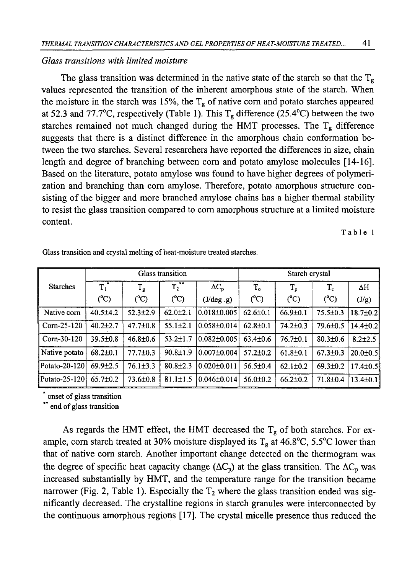### *Glass transitions with limited moisture*

The glass transition was determined in the native state of the starch so that the  $T_{g}$ values represented the transition of the inherent amorphous state of the starch. When the moisture in the starch was 15%, the  $T_g$  of native corn and potato starches appeared at 52.3 and 77.7°C, respectively (Table 1). This  $T_g$  difference (25.4°C) between the two starches remained not much changed during the HMT processes. The  $T_g$  difference suggests that there is a distinct difference in the amorphous chain conformation between the two starches. Several researchers have reported the differences in size, chain length and degree of branching between com and potato amylose molecules [14-16]. Based on the literature, potato amylose was found to have higher degrees of polymerization and branching than com amylose. Therefore, potato amorphous structure consisting of the bigger and more branched amylose chains has a higher thermal stability to resist the glass transition compared to com amorphous structure at a limited moisture content.

Table 1

|                 | Glass transition |                |                       |                     | Starch crystal |                |                |                |
|-----------------|------------------|----------------|-----------------------|---------------------|----------------|----------------|----------------|----------------|
| <b>Starches</b> | $T_1$            | $T_{g}$        | $\overline{T_2}^{**}$ | $\Delta C_p$        | $T_{o}$        | $T_{p}$        | $T_{\rm c}$    | $\Delta H$     |
|                 | $(^{\circ}C)$    | $(^{\circ}C)$  | $(^{\circ}C)$         | $(J/\text{deg}.g)$  | $(^{\circ}C)$  | $(^{\circ}C)$  | $(^{\circ}C)$  | (J/g)          |
| Native corn     | $40.5 \pm 4.2$   | $52.3 \pm 2.9$ | $62.0 \pm 2.1$        | $0.018 \pm 0.005$   | $62.6 \pm 0.1$ | $66.9 \pm 0.1$ | $75.5 \pm 0.3$ | $18.7 \pm 0.2$ |
| Corn-25-120     | $40.2 \pm 2.7$   | 47.7±0.8       | $55.1 \pm 2.1$        | 10.058±0.0141       | $62.8 \pm 0.1$ | $74.2 \pm 0.3$ | $79.6 \pm 0.5$ | $14.4 \pm 0.2$ |
| Corn-30-120     | $39.5 \pm 0.8$   | $46.8 \pm 0.6$ | $53.2 \pm 1.7$        | l0.082±0.005l       | $63.4 \pm 0.6$ | $76.7 \pm 0.1$ | $80.3 \pm 0.6$ | $8.2 \pm 2.5$  |
| Native potato   | $68.2 \pm 0.1$   | $77.7 \pm 0.3$ | $90.8 \pm 1.9$        | $0.007 \pm 0.004$   | $57.2 \pm 0.2$ | $61.8 \pm 0.1$ | $67.3 \pm 0.3$ | 120.0±0.5l     |
| Potato-20-120   | $69.9 + 2.5$     | $76.1 \pm 3.3$ | $80.8{\pm}2.3$        | $(0.020 \pm 0.011)$ | $56.5 \pm 0.4$ | $62.1 \pm 0.2$ | $69.3 \pm 0.2$ | $17.4 \pm 0.5$ |
| Potato-25-120   | $65.7 \pm 0.2$   | $73.6 \pm 0.8$ | $81.1 \pm 1.5$        | $0.046 \pm 0.014$   | $56.0 \pm 0.2$ | $66.2{\pm}0.2$ | 71.8±0.4       | $13.4 \pm 0.1$ |

Glass transition and crystal melting of heat-moisture treated starches.

onset of glass transition

<sup>\*\*</sup> end of glass transition

As regards the HMT effect, the HMT decreased the  $T_g$  of both starches. For example, corn starch treated at 30% moisture displayed its  $T_g$  at 46.8°C, 5.5°C lower than that of native com starch. Another important change detected on the thermogram was the degree of specific heat capacity change  $( \Delta C_n)$  at the glass transition. The  $\Delta C_n$  was increased substantially by HMT, and the temperature range for the transition became narrower (Fig. 2, Table 1). Especially the  $T_2$  where the glass transition ended was significantly decreased. The crystalline regions in starch granules were interconnected by the continuous amorphous regions [17]. The crystal micelle presence thus reduced the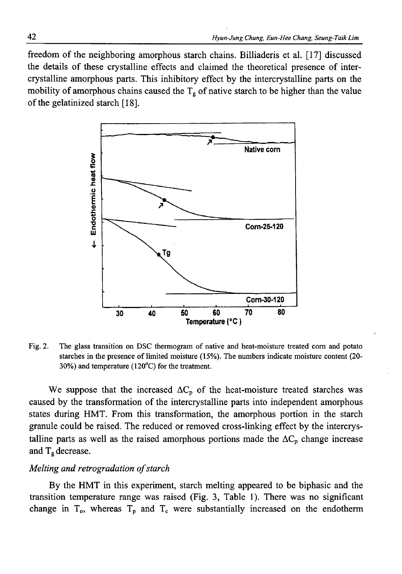freedom of the neighboring amorphous starch chains. Billiaderis et al. [17] discussed the details of these crystalline effects and claimed the theoretical presence of intercrystalline amorphous parts. This inhibitory effect by the intercrystalline parts on the mobility of amorphous chains caused the  $T_g$  of native starch to be higher than the value of the gelatinized starch [18].



Fig. 2. The glass transition on DSC thermogram of native and heat-moisture treated com and potato starches in the presence of limited moisture (15%). The numbers indicate moisture content (20- 30%) and temperature (120°C) for the treatment.

We suppose that the increased  $\Delta C_{p}$  of the heat-moisture treated starches was caused by the transformation of the intercrystalline parts into independent amorphous states during HMT. From this transformation, the amorphous portion in the starch granule could be raised. The reduced or removed cross-linking effect by the intercrystalline parts as well as the raised amorphous portions made the  $\Delta C_p$  change increase and  $T_{\rm g}$  decrease.

#### *Melting and retrogradation of starch*

By the HMT in this experiment, starch melting appeared to be biphasic and the transition temperature range was raised (Fig. 3, Table 1). There was no significant change in  $T_0$ , whereas  $T_p$  and  $T_c$  were substantially increased on the endotherm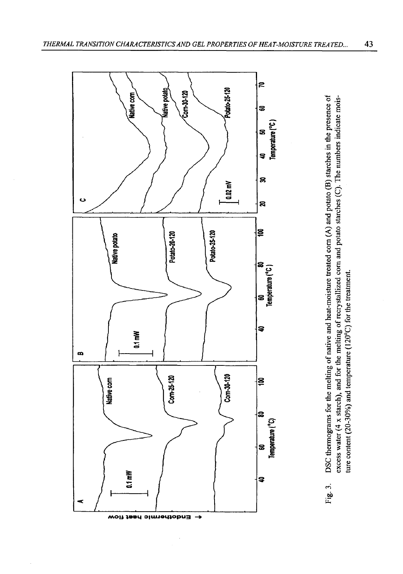

DSC thermograms for the melting of native and heat-moisture treated com (A) and potato (B) starches in the presence of Fig. 3. DSC thermograms for the melting of native and heat-moisture treated com (A) and potato (B) starches in the presence of excess water (4 x starch), and for the melting of recrystallized com and potato starches (C). The numbers indicate moisexcess water (4 x starch), and for the melting of recrystallized com and potato starches (C). The numbers indicate moisture content (20-30%) and temperature (120 $^{\circ}$ C) for the treatment. ture content (20-30%) and temperature (120°C) for the treatment.Fig. 3.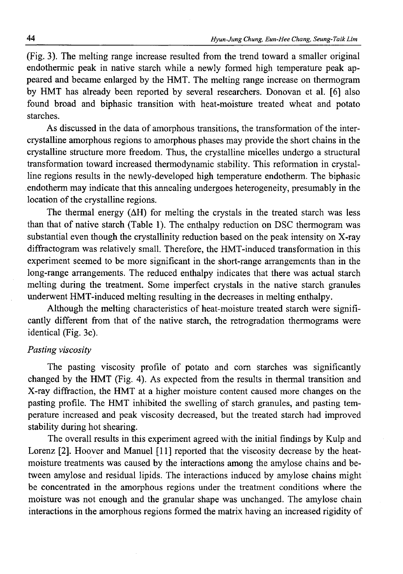(Fig. 3). The melting range increase resulted from the trend toward a smaller original endothermic peak in native starch while a newly formed high temperature peak appeared and became enlarged by the HMT. The melting range increase on thermogram by HMT has already been reported by several researchers. Donovan et al. [6] also found broad and biphasic transition with heat-moisture treated wheat and potato starches.

As discussed in the data of amorphous transitions, the transformation of the intercrystalline amorphous regions to amorphous phases may provide the short chains in the crystalline structure more freedom. Thus, the crystalline micelles undergo a structural transformation toward increased thermodynamic stability. This reformation in crystalline regions results in the newly-developed high temperature endotherm. The biphasic endotherm may indicate that this annealing undergoes heterogeneity, presumably in the location of the crystalline regions.

The thermal energy  $(\Delta H)$  for melting the crystals in the treated starch was less than that of native starch (Table 1). The enthalpy reduction on DSC thermogram was substantial even though the crystallinity reduction based on the peak intensity on X-ray diffractogram was relatively small. Therefore, the HMT-induced transformation in this experiment seemed to be more significant in the short-range arrangements than in the long-range arrangements. The reduced enthalpy indicates that there was actual starch melting during the treatment. Some imperfect crystals in the native starch granules underwent HMT-induced melting resulting in the decreases in melting enthalpy.

Although the melting characteristics of heat-moisture treated starch were significantly different from that of the native starch, the retrogradation thermograms were identical (Fig.  $3c$ ).

### *Pasting viscosity*

The pasting viscosity profile of potato and com starches was significantly changed by the HMT (Fig. 4). As expected from the results in thermal transition and X-ray diffraction, the HMT at a higher moisture content caused more changes on the pasting profile. The HMT inhibited the swelling of starch granules, and pasting temperature increased and peak viscosity decreased, but the treated starch had improved stability during hot shearing.

The overall results in this experiment agreed with the initial findings by Kulp and Lorenz [2]. Hoover and Manuel [11] reported that the viscosity decrease by the heatmoisture treatments was caused by the interactions among the amylose chains and between amylose and residual lipids. The interactions induced by amylose chains might be concentrated in the amorphous regions under the treatment conditions where the moisture was not enough and the granular shape was unchanged. The amylose chain interactions in the amorphous regions formed the matrix having an increased rigidity of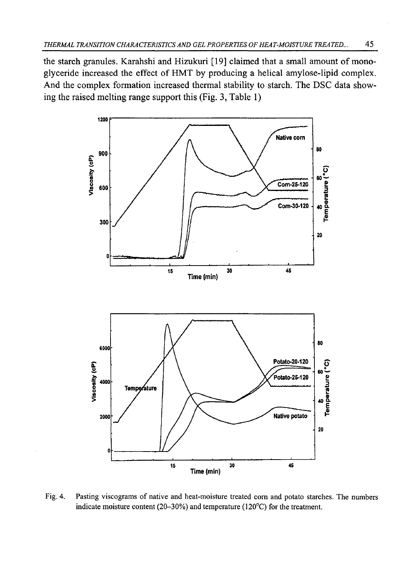the starch granules. Karahshi and Hizukuri [19] claimed that a small amount of monoglyceride increased the effect of HMT by producing a helical amylose-lipid complex. And the complex formation increased thermal stability to starch. The DSC data showing the raised melting range support this (Fig. 3, Table 1)



Fig. 4. Pasting viscograms of native and heat-moisture treated com and potato starches. The numbers indicate moisture content (20-30%) and temperature (120°C) for the treatment.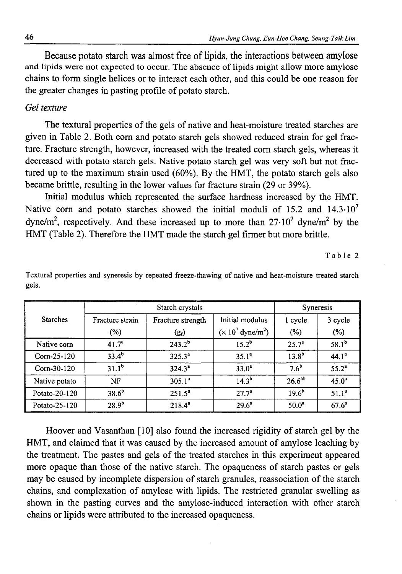**Because potato starch was almost free of lipids, the interactions between amylose** and lipids were not expected to occur. The absence of lipids might allow more amylose chains to form single helices or to interact each other, and this could be one reason for the greater changes in pasting profile of potato starch.

### *Gel texture*

The textural properties of the gels of native and heat-moisture treated starches are given in Table 2. Both com and potato starch gels showed reduced strain for gel fracture. Fracture strength, however, increased with the treated com starch gels, whereas it decreased with potato starch gels. Native potato starch gel was very soft but not fractured up to the maximum strain used (60%). By the HMT, the potato starch gels also became brittle, resulting in the lower values for fracture strain (29 or 39%).

Initial modulus which represented the surface hardness increased by the HMT. Native corn and potato starches showed the initial moduli of 15.2 and  $14.3 \cdot 10^{7}$ dyne/m<sup>2</sup>, respectively. And these increased up to more than  $27 \cdot 10^7$  dyne/m<sup>2</sup> by the HMT (Table 2). Therefore the HMT made the starch gel firmer but more brittle.

Table 2

|                 |                   | <b>Syneresis</b>  |                                  |                    |            |
|-----------------|-------------------|-------------------|----------------------------------|--------------------|------------|
| <b>Starches</b> | Fracture strain   | Fracture strength | Initial modulus                  | 1 cycle            | 3 cycle    |
|                 | (%)               | (g <sub>t</sub> ) | $(\times 10^7 \text{ dyne/m}^2)$ | (%)                | $(\%)$     |
| Native corn     | 41.7 <sup>a</sup> | $243.2^{b}$       | $15.2^{b}$                       | $25.7^{\circ}$     | $58.1^{b}$ |
| $Com-25-120$    | $33.4^{b}$        | $325.3^a$         | $35.1^a$                         | $13.8^{b}$         | $44.1^a$   |
| $Corn-30-120$   | $31.1^{b}$        | $324.3^a$         | $33.0^a$                         | $7.6^{\circ}$      | $55.2^a$   |
| Native potato   | NF                | $305.1^a$         | $14.3^{b}$                       | 26.6 <sup>ab</sup> | $45.0^a$   |
| Potato-20-120   | 38.6 <sup>b</sup> | $251.5^a$         | $27.7^a$                         | $19.6^{b}$         | $51.1^a$   |
| Potato-25-120   | $28.9^{b}$        | $218.4^{a}$       | $29.6^a$                         | $50.0^a$           | $67.6^a$   |

Textural properties and syneresis by repeated freeze-thawing of native and heat-moisture treated starch gels.

Hoover and Vasanthan [10] also found the increased rigidity of starch gel by the HMT, and claimed that it was caused by the increased amount of amylose leaching by the treatment. The pastes and gels of the treated starches in this experiment appeared more opaque than those of the native starch. The opaqueness of starch pastes or gels may be caused by incomplete dispersion of starch granules, reassociation of the starch chains, and complexation of amylose with lipids. The restricted granular swelling as shown in the pasting curves and the amylose-induced interaction with other starch chains or lipids were attributed to the increased opaqueness.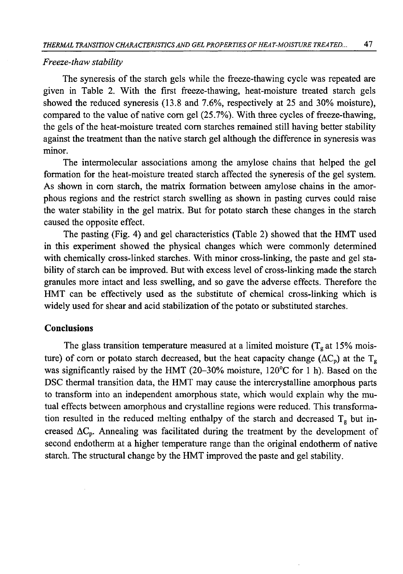#### *Freeze-thaw stability*

The syneresis of the starch gels while the freeze-thawing cycle was repeated are given in Table 2. With the first freeze-thawing, heat-moisture treated starch gels showed the reduced syneresis (13.8 and 7.6%, respectively at 25 and 30% moisture), compared to the value of native com gel (25.7%). With three cycles of freeze-thawing, the gels of the heat-moisture treated com starches remained still having better stability against the treatment than the native starch gel although the difference in syneresis was minor.

The intermolecular associations among the amylose chains that helped the gel formation for the heat-moisture treated starch affected the syneresis of the gel system. As shown in com starch, the matrix formation between amylose chains in the amorphous regions and the restrict starch swelling as shown in pasting curves could raise the water stability in the gel matrix. But for potato starch these changes in the starch caused the opposite effect.

The pasting (Fig. 4) and gel characteristics (Table 2) showed that the HMT used in this experiment showed the physical changes which were commonly determined with chemically cross-linked starches. With minor cross-linking, the paste and gel stability of starch can be improved. But with excess level of cross-linking made the starch granules more intact and less swelling, and so gave the adverse effects. Therefore the HMT can be effectively used as the substitute of chemical cross-linking which is widely used for shear and acid stabilization of the potato or substituted starches.

### **Conclusions**

The glass transition temperature measured at a limited moisture ( $T_g$  at 15% moisture) of corn or potato starch decreased, but the heat capacity change ( $\Delta C_p$ ) at the T<sub>g</sub> was significantly raised by the HMT (20–30% moisture,  $120^{\circ}$ C for 1 h). Based on the DSC thermal transition data, the HMT may cause the intercrystalline amorphous parts to transform into an independent amorphous state, which would explain why the mutual effects between amorphous and crystalline regions were reduced. This transformation resulted in the reduced melting enthalpy of the starch and decreased  $T_g$  but increased  $\Delta C_p$ . Annealing was facilitated during the treatment by the development of second endotherm at a higher temperature range than the original endotherm of native starch. The structural change by the HMT improved the paste and gel stability.